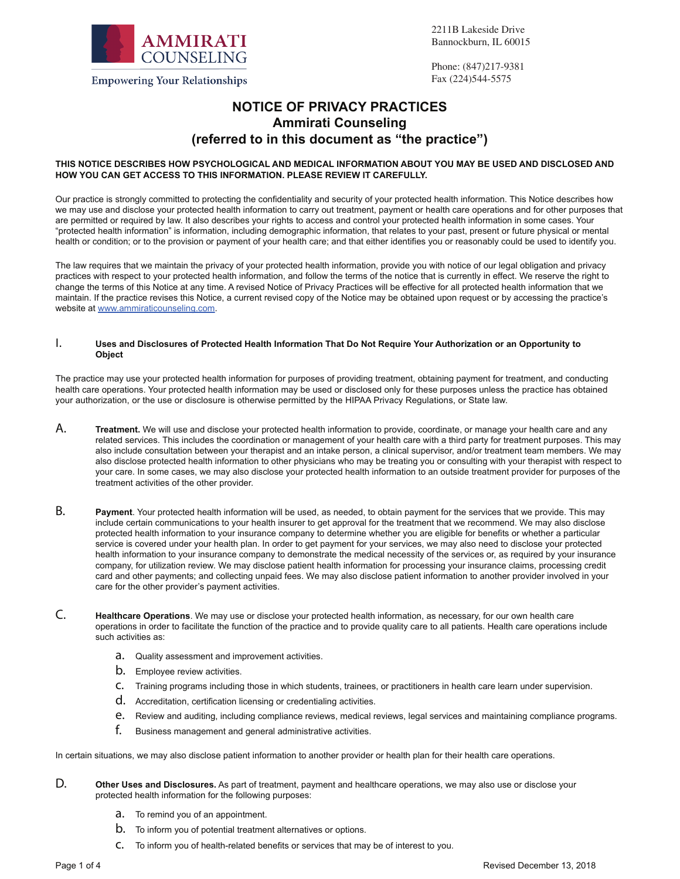

2211B Lakeside Drive Bannockburn, IL 60015

Phone: (847)217-9381 Fax (224)544-5575

# **NOTICE OF PRIVACY PRACTICES Ammirati Counseling (referred to in this document as "the practice")**

#### **THIS NOTICE DESCRIBES HOW PSYCHOLOGICAL AND MEDICAL INFORMATION ABOUT YOU MAY BE USED AND DISCLOSED AND HOW YOU CAN GET ACCESS TO THIS INFORMATION. PLEASE REVIEW IT CAREFULLY.**

Our practice is strongly committed to protecting the confidentiality and security of your protected health information. This Notice describes how we may use and disclose your protected health information to carry out treatment, payment or health care operations and for other purposes that are permitted or required by law. It also describes your rights to access and control your protected health information in some cases. Your "protected health information" is information, including demographic information, that relates to your past, present or future physical or mental health or condition; or to the provision or payment of your health care; and that either identifies you or reasonably could be used to identify you.

The law requires that we maintain the privacy of your protected health information, provide you with notice of our legal obligation and privacy practices with respect to your protected health information, and follow the terms of the notice that is currently in effect. We reserve the right to change the terms of this Notice at any time. A revised Notice of Privacy Practices will be effective for all protected health information that we maintain. If the practice revises this Notice, a current revised copy of the Notice may be obtained upon request or by accessing the practice's website at www.ammiraticounseling.com.

#### I. **Uses and Disclosures of Protected Health Information That Do Not Require Your Authorization or an Opportunity to Object**

The practice may use your protected health information for purposes of providing treatment, obtaining payment for treatment, and conducting health care operations. Your protected health information may be used or disclosed only for these purposes unless the practice has obtained your authorization, or the use or disclosure is otherwise permitted by the HIPAA Privacy Regulations, or State law.

- A. **Treatment.** We will use and disclose your protected health information to provide, coordinate, or manage your health care and any related services. This includes the coordination or management of your health care with a third party for treatment purposes. This may also include consultation between your therapist and an intake person, a clinical supervisor, and/or treatment team members. We may also disclose protected health information to other physicians who may be treating you or consulting with your therapist with respect to your care. In some cases, we may also disclose your protected health information to an outside treatment provider for purposes of the treatment activities of the other provider.
- B. **Payment**. Your protected health information will be used, as needed, to obtain payment for the services that we provide. This may include certain communications to your health insurer to get approval for the treatment that we recommend. We may also disclose protected health information to your insurance company to determine whether you are eligible for benefits or whether a particular service is covered under your health plan. In order to get payment for your services, we may also need to disclose your protected health information to your insurance company to demonstrate the medical necessity of the services or, as required by your insurance company, for utilization review. We may disclose patient health information for processing your insurance claims, processing credit card and other payments; and collecting unpaid fees. We may also disclose patient information to another provider involved in your care for the other provider's payment activities.
- C. **Healthcare Operations**. We may use or disclose your protected health information, as necessary, for our own health care operations in order to facilitate the function of the practice and to provide quality care to all patients. Health care operations include such activities as:
	- a. Quality assessment and improvement activities.
	- **b.** Employee review activities.
	- c. Training programs including those in which students, trainees, or practitioners in health care learn under supervision.
	- d. Accreditation, certification licensing or credentialing activities.
	- e. Review and auditing, including compliance reviews, medical reviews, legal services and maintaining compliance programs.
	- f. Business management and general administrative activities.

In certain situations, we may also disclose patient information to another provider or health plan for their health care operations.

- D. **Other Uses and Disclosures.** As part of treatment, payment and healthcare operations, we may also use or disclose your protected health information for the following purposes:
	- **a.** To remind you of an appointment.
	- b. To inform you of potential treatment alternatives or options.
	- c. To inform you of health-related benefits or services that may be of interest to you.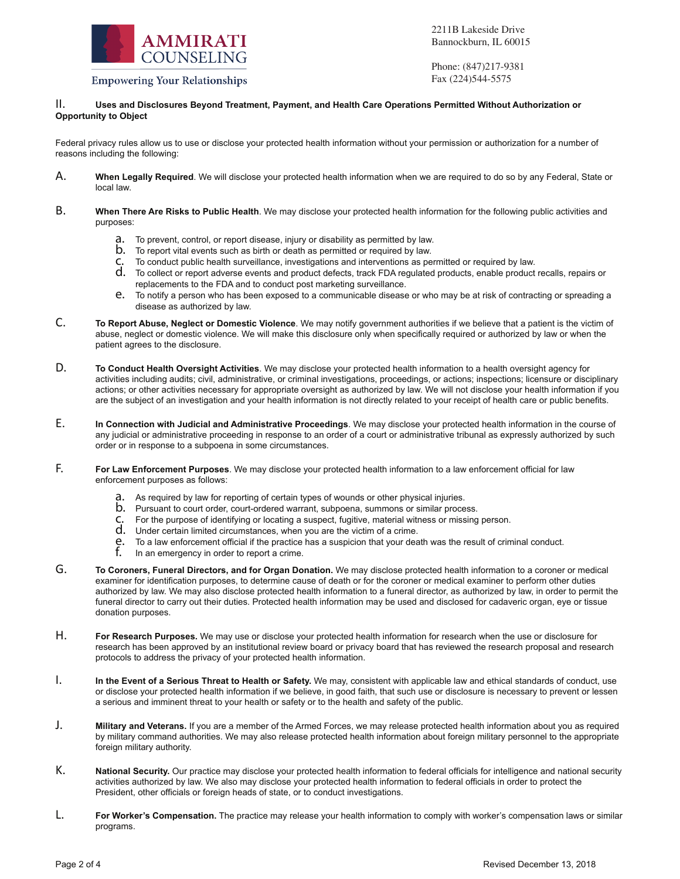

2211B Lakeside Drive Bannockburn, IL 60015

**Empowering Your Relationships** 

Phone: (847)217-9381 Fax (224)544-5575

### II. **Uses and Disclosures Beyond Treatment, Payment, and Health Care Operations Permitted Without Authorization or Opportunity to Object**

Federal privacy rules allow us to use or disclose your protected health information without your permission or authorization for a number of reasons including the following:

- A. **When Legally Required**. We will disclose your protected health information when we are required to do so by any Federal, State or local law.
- B. **When There Are Risks to Public Health**. We may disclose your protected health information for the following public activities and purposes:
	- a. To prevent, control, or report disease, injury or disability as permitted by law.
	- b. To report vital events such as birth or death as permitted or required by law.
	- c. To conduct public health surveillance, investigations and interventions as permitted or required by law.
	- d. To collect or report adverse events and product defects, track FDA regulated products, enable product recalls, repairs or replacements to the FDA and to conduct post marketing surveillance.
	- e. To notify a person who has been exposed to a communicable disease or who may be at risk of contracting or spreading a disease as authorized by law.
- C. **To Report Abuse, Neglect or Domestic Violence**. We may notify government authorities if we believe that a patient is the victim of abuse, neglect or domestic violence. We will make this disclosure only when specifically required or authorized by law or when the patient agrees to the disclosure.
- D. **To Conduct Health Oversight Activities**. We may disclose your protected health information to a health oversight agency for activities including audits; civil, administrative, or criminal investigations, proceedings, or actions; inspections; licensure or disciplinary actions; or other activities necessary for appropriate oversight as authorized by law. We will not disclose your health information if you are the subject of an investigation and your health information is not directly related to your receipt of health care or public benefits.
- E. **In Connection with Judicial and Administrative Proceedings**. We may disclose your protected health information in the course of any judicial or administrative proceeding in response to an order of a court or administrative tribunal as expressly authorized by such order or in response to a subpoena in some circumstances.
- F. **For Law Enforcement Purposes**. We may disclose your protected health information to a law enforcement official for law enforcement purposes as follows:
	- a. As required by law for reporting of certain types of wounds or other physical injuries.
	- b. Pursuant to court order, court-ordered warrant, subpoena, summons or similar process.
	- c. For the purpose of identifying or locating a suspect, fugitive, material witness or missing person.
	- d. Under certain limited circumstances, when you are the victim of a crime.
	- **e.** To a law enforcement official if the practice has a suspicion that your death was the result of criminal conduct.<br> $\mathbf{f}$  In an emergency in order to report a crime
	- In an emergency in order to report a crime.
- G. **To Coroners, Funeral Directors, and for Organ Donation.** We may disclose protected health information to a coroner or medical examiner for identification purposes, to determine cause of death or for the coroner or medical examiner to perform other duties authorized by law. We may also disclose protected health information to a funeral director, as authorized by law, in order to permit the funeral director to carry out their duties. Protected health information may be used and disclosed for cadaveric organ, eye or tissue donation purposes.
- H. **For Research Purposes.** We may use or disclose your protected health information for research when the use or disclosure for research has been approved by an institutional review board or privacy board that has reviewed the research proposal and research protocols to address the privacy of your protected health information.
- I. **In the Event of a Serious Threat to Health or Safety.** We may, consistent with applicable law and ethical standards of conduct, use or disclose your protected health information if we believe, in good faith, that such use or disclosure is necessary to prevent or lessen a serious and imminent threat to your health or safety or to the health and safety of the public.
- J. **Military and Veterans.** If you are a member of the Armed Forces, we may release protected health information about you as required by military command authorities. We may also release protected health information about foreign military personnel to the appropriate foreign military authority.
- K. **National Security.** Our practice may disclose your protected health information to federal officials for intelligence and national security activities authorized by law. We also may disclose your protected health information to federal officials in order to protect the President, other officials or foreign heads of state, or to conduct investigations.
- L. **For Worker's Compensation.** The practice may release your health information to comply with worker's compensation laws or similar programs.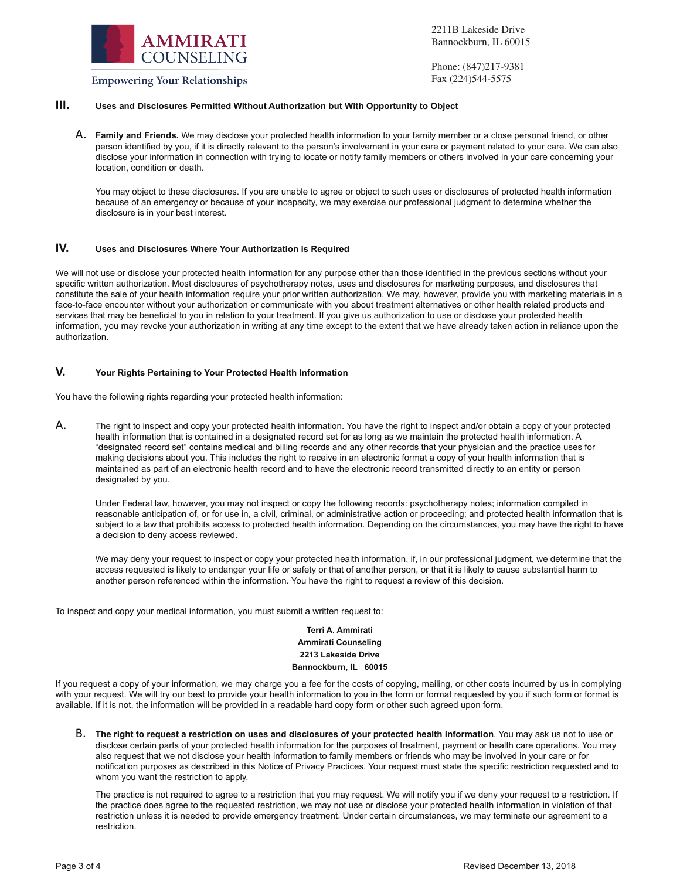

**Empowering Your Relationships** 

2211B Lakeside Drive Bannockburn, IL 60015

Phone: (847)217-9381 Fax (224)544-5575

# **III. Uses and Disclosures Permitted Without Authorization but With Opportunity to Object**

A. **Family and Friends.** We may disclose your protected health information to your family member or a close personal friend, or other person identified by you, if it is directly relevant to the person's involvement in your care or payment related to your care. We can also disclose your information in connection with trying to locate or notify family members or others involved in your care concerning your location, condition or death.

You may object to these disclosures. If you are unable to agree or object to such uses or disclosures of protected health information because of an emergency or because of your incapacity, we may exercise our professional judgment to determine whether the disclosure is in your best interest.

#### **IV. Uses and Disclosures Where Your Authorization is Required**

We will not use or disclose your protected health information for any purpose other than those identified in the previous sections without your specific written authorization. Most disclosures of psychotherapy notes, uses and disclosures for marketing purposes, and disclosures that constitute the sale of your health information require your prior written authorization. We may, however, provide you with marketing materials in a face-to-face encounter without your authorization or communicate with you about treatment alternatives or other health related products and services that may be beneficial to you in relation to your treatment. If you give us authorization to use or disclose your protected health information, you may revoke your authorization in writing at any time except to the extent that we have already taken action in reliance upon the authorization.

## **V. Your Rights Pertaining to Your Protected Health Information**

You have the following rights regarding your protected health information:

A. The right to inspect and copy your protected health information. You have the right to inspect and/or obtain a copy of your protected health information that is contained in a designated record set for as long as we maintain the protected health information. A "designated record set" contains medical and billing records and any other records that your physician and the practice uses for making decisions about you. This includes the right to receive in an electronic format a copy of your health information that is maintained as part of an electronic health record and to have the electronic record transmitted directly to an entity or person designated by you.

 Under Federal law, however, you may not inspect or copy the following records: psychotherapy notes; information compiled in reasonable anticipation of, or for use in, a civil, criminal, or administrative action or proceeding; and protected health information that is subject to a law that prohibits access to protected health information. Depending on the circumstances, you may have the right to have a decision to deny access reviewed.

 We may deny your request to inspect or copy your protected health information, if, in our professional judgment, we determine that the access requested is likely to endanger your life or safety or that of another person, or that it is likely to cause substantial harm to another person referenced within the information. You have the right to request a review of this decision.

To inspect and copy your medical information, you must submit a written request to:

### **Terri A. Ammirati Ammirati Counseling 2213 Lakeside Drive Bannockburn, IL 60015**

If you request a copy of your information, we may charge you a fee for the costs of copying, mailing, or other costs incurred by us in complying with your request. We will try our best to provide your health information to you in the form or format requested by you if such form or format is available. If it is not, the information will be provided in a readable hard copy form or other such agreed upon form.

B. **The right to request a restriction on uses and disclosures of your protected health information**. You may ask us not to use or disclose certain parts of your protected health information for the purposes of treatment, payment or health care operations. You may also request that we not disclose your health information to family members or friends who may be involved in your care or for notification purposes as described in this Notice of Privacy Practices. Your request must state the specific restriction requested and to whom you want the restriction to apply.

The practice is not required to agree to a restriction that you may request. We will notify you if we deny your request to a restriction. If the practice does agree to the requested restriction, we may not use or disclose your protected health information in violation of that restriction unless it is needed to provide emergency treatment. Under certain circumstances, we may terminate our agreement to a restriction.